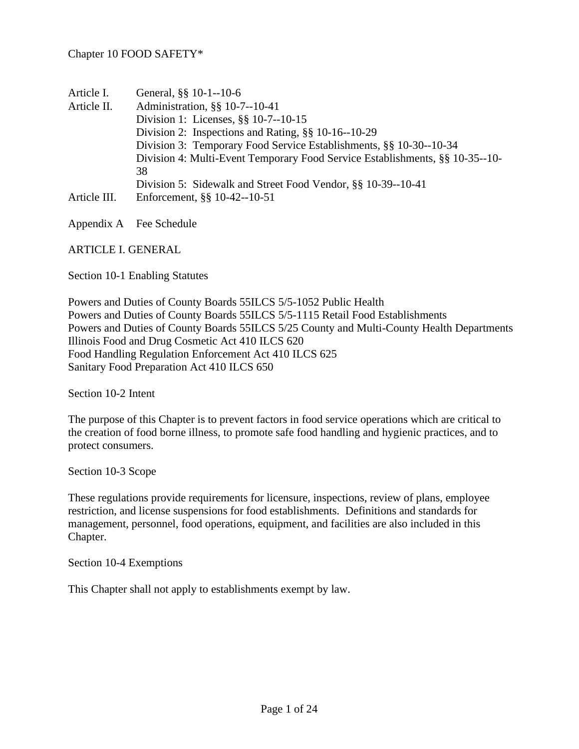| Article I.   | General, §§ 10-1--10-6                                                       |
|--------------|------------------------------------------------------------------------------|
| Article II.  | Administration, §§ 10-7--10-41                                               |
|              | Division 1: Licenses, §§ 10-7--10-15                                         |
|              | Division 2: Inspections and Rating, §§ 10-16--10-29                          |
|              | Division 3: Temporary Food Service Establishments, §§ 10-30--10-34           |
|              | Division 4: Multi-Event Temporary Food Service Establishments, §§ 10-35--10- |
|              | 38                                                                           |
|              | Division 5: Sidewalk and Street Food Vendor, §§ 10-39--10-41                 |
| Article III. | Enforcement, §§ 10-42--10-51                                                 |
|              |                                                                              |

Appendix A Fee Schedule

ARTICLE I. GENERAL

Section 10-1 Enabling Statutes

Powers and Duties of County Boards 55ILCS 5/5-1052 Public Health Powers and Duties of County Boards 55ILCS 5/5-1115 Retail Food Establishments Powers and Duties of County Boards 55ILCS 5/25 County and Multi-County Health Departments Illinois Food and Drug Cosmetic Act 410 ILCS 620 Food Handling Regulation Enforcement Act 410 ILCS 625 Sanitary Food Preparation Act 410 ILCS 650

Section 10-2 Intent

The purpose of this Chapter is to prevent factors in food service operations which are critical to the creation of food borne illness, to promote safe food handling and hygienic practices, and to protect consumers.

Section 10-3 Scope

These regulations provide requirements for licensure, inspections, review of plans, employee restriction, and license suspensions for food establishments. Definitions and standards for management, personnel, food operations, equipment, and facilities are also included in this Chapter.

Section 10-4 Exemptions

This Chapter shall not apply to establishments exempt by law.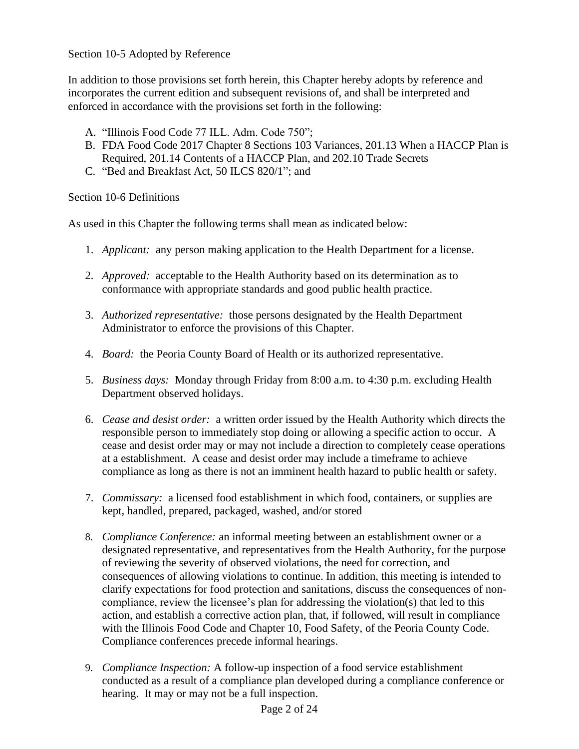# Section 10-5 Adopted by Reference

In addition to those provisions set forth herein, this Chapter hereby adopts by reference and incorporates the current edition and subsequent revisions of, and shall be interpreted and enforced in accordance with the provisions set forth in the following:

- A. "Illinois Food Code 77 ILL. Adm. Code 750";
- B. FDA Food Code 2017 Chapter 8 Sections 103 Variances, 201.13 When a HACCP Plan is Required, 201.14 Contents of a HACCP Plan, and 202.10 Trade Secrets
- C. "Bed and Breakfast Act, 50 ILCS 820/1"; and

Section 10-6 Definitions

As used in this Chapter the following terms shall mean as indicated below:

- 1. *Applicant:* any person making application to the Health Department for a license.
- 2. *Approved:* acceptable to the Health Authority based on its determination as to conformance with appropriate standards and good public health practice.
- 3. *Authorized representative:* those persons designated by the Health Department Administrator to enforce the provisions of this Chapter.
- 4. *Board:* the Peoria County Board of Health or its authorized representative.
- 5. *Business days:* Monday through Friday from 8:00 a.m. to 4:30 p.m. excluding Health Department observed holidays.
- 6. *Cease and desist order:* a written order issued by the Health Authority which directs the responsible person to immediately stop doing or allowing a specific action to occur. A cease and desist order may or may not include a direction to completely cease operations at a establishment. A cease and desist order may include a timeframe to achieve compliance as long as there is not an imminent health hazard to public health or safety.
- 7. *Commissary:* a licensed food establishment in which food, containers, or supplies are kept, handled, prepared, packaged, washed, and/or stored
- 8. *Compliance Conference:* an informal meeting between an establishment owner or a designated representative, and representatives from the Health Authority, for the purpose of reviewing the severity of observed violations, the need for correction, and consequences of allowing violations to continue. In addition, this meeting is intended to clarify expectations for food protection and sanitations, discuss the consequences of noncompliance, review the licensee's plan for addressing the violation(s) that led to this action, and establish a corrective action plan, that, if followed, will result in compliance with the Illinois Food Code and Chapter 10, Food Safety, of the Peoria County Code. Compliance conferences precede informal hearings.
- 9. *Compliance Inspection:* A follow-up inspection of a food service establishment conducted as a result of a compliance plan developed during a compliance conference or hearing. It may or may not be a full inspection.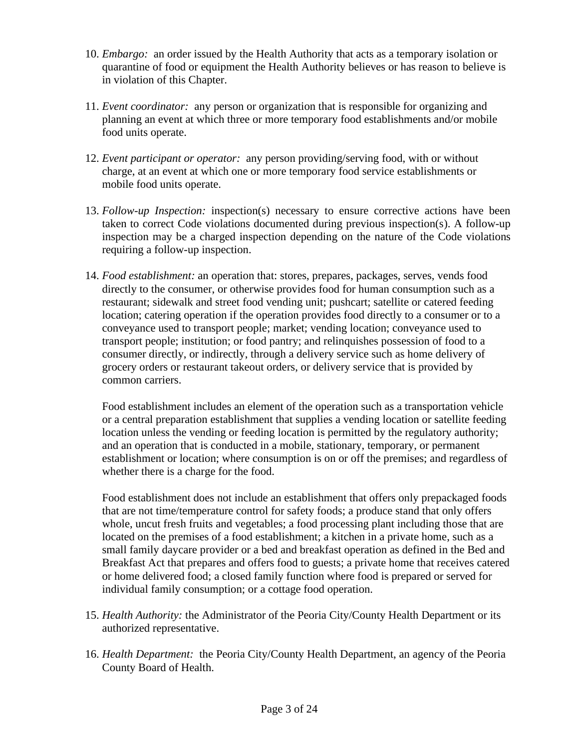- 10. *Embargo:* an order issued by the Health Authority that acts as a temporary isolation or quarantine of food or equipment the Health Authority believes or has reason to believe is in violation of this Chapter.
- 11. *Event coordinator:* any person or organization that is responsible for organizing and planning an event at which three or more temporary food establishments and/or mobile food units operate.
- 12. *Event participant or operator:* any person providing/serving food, with or without charge, at an event at which one or more temporary food service establishments or mobile food units operate.
- 13. *Follow-up Inspection:* inspection(s) necessary to ensure corrective actions have been taken to correct Code violations documented during previous inspection(s). A follow-up inspection may be a charged inspection depending on the nature of the Code violations requiring a follow-up inspection.
- 14. *Food establishment:* an operation that: stores, prepares, packages, serves, vends food directly to the consumer, or otherwise provides food for human consumption such as a restaurant; sidewalk and street food vending unit; pushcart; satellite or catered feeding location; catering operation if the operation provides food directly to a consumer or to a conveyance used to transport people; market; vending location; conveyance used to transport people; institution; or food pantry; and relinquishes possession of food to a consumer directly, or indirectly, through a delivery service such as home delivery of grocery orders or restaurant takeout orders, or delivery service that is provided by common carriers.

Food establishment includes an element of the operation such as a transportation vehicle or a central preparation establishment that supplies a vending location or satellite feeding location unless the vending or feeding location is permitted by the regulatory authority; and an operation that is conducted in a mobile, stationary, temporary, or permanent establishment or location; where consumption is on or off the premises; and regardless of whether there is a charge for the food.

Food establishment does not include an establishment that offers only prepackaged foods that are not time/temperature control for safety foods; a produce stand that only offers whole, uncut fresh fruits and vegetables; a food processing plant including those that are located on the premises of a food establishment; a kitchen in a private home, such as a small family daycare provider or a bed and breakfast operation as defined in the Bed and Breakfast Act that prepares and offers food to guests; a private home that receives catered or home delivered food; a closed family function where food is prepared or served for individual family consumption; or a cottage food operation.

- 15. *Health Authority:* the Administrator of the Peoria City/County Health Department or its authorized representative.
- 16. *Health Department:* the Peoria City/County Health Department, an agency of the Peoria County Board of Health.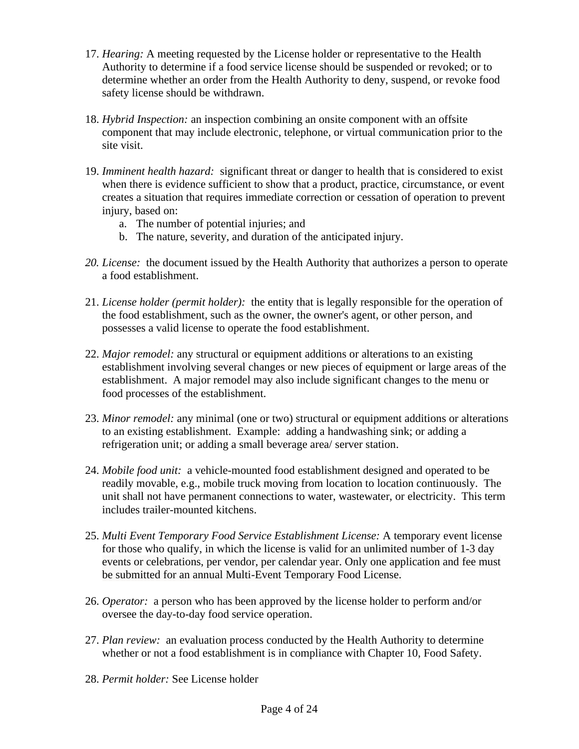- 17. *Hearing:* A meeting requested by the License holder or representative to the Health Authority to determine if a food service license should be suspended or revoked; or to determine whether an order from the Health Authority to deny, suspend, or revoke food safety license should be withdrawn.
- 18. *Hybrid Inspection:* an inspection combining an onsite component with an offsite component that may include electronic, telephone, or virtual communication prior to the site visit.
- 19. *Imminent health hazard:* significant threat or danger to health that is considered to exist when there is evidence sufficient to show that a product, practice, circumstance, or event creates a situation that requires immediate correction or cessation of operation to prevent injury, based on:
	- a. The number of potential injuries; and
	- b. The nature, severity, and duration of the anticipated injury.
- *20. License:* the document issued by the Health Authority that authorizes a person to operate a food establishment.
- 21. *License holder (permit holder):* the entity that is legally responsible for the operation of the food establishment, such as the owner, the owner's agent, or other person, and possesses a valid license to operate the food establishment.
- 22. *Major remodel:* any structural or equipment additions or alterations to an existing establishment involving several changes or new pieces of equipment or large areas of the establishment. A major remodel may also include significant changes to the menu or food processes of the establishment.
- 23. *Minor remodel:* any minimal (one or two) structural or equipment additions or alterations to an existing establishment. Example: adding a handwashing sink; or adding a refrigeration unit; or adding a small beverage area/ server station.
- 24. *Mobile food unit:* a vehicle-mounted food establishment designed and operated to be readily movable, e.g., mobile truck moving from location to location continuously. The unit shall not have permanent connections to water, wastewater, or electricity. This term includes trailer-mounted kitchens.
- 25. *Multi Event Temporary Food Service Establishment License:* A temporary event license for those who qualify, in which the license is valid for an unlimited number of 1-3 day events or celebrations, per vendor, per calendar year. Only one application and fee must be submitted for an annual Multi-Event Temporary Food License.
- 26. *Operator:* a person who has been approved by the license holder to perform and/or oversee the day-to-day food service operation.
- 27. *Plan review:* an evaluation process conducted by the Health Authority to determine whether or not a food establishment is in compliance with Chapter 10, Food Safety.
- 28. *Permit holder:* See License holder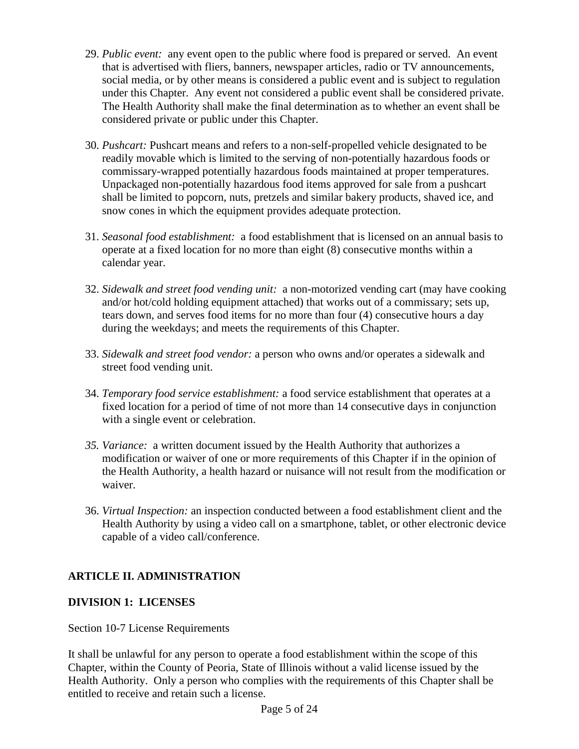- 29. *Public event:* any event open to the public where food is prepared or served. An event that is advertised with fliers, banners, newspaper articles, radio or TV announcements, social media, or by other means is considered a public event and is subject to regulation under this Chapter. Any event not considered a public event shall be considered private. The Health Authority shall make the final determination as to whether an event shall be considered private or public under this Chapter.
- 30. *Pushcart:* Pushcart means and refers to a non-self-propelled vehicle designated to be readily movable which is limited to the serving of non-potentially hazardous foods or commissary-wrapped potentially hazardous foods maintained at proper temperatures. Unpackaged non-potentially hazardous food items approved for sale from a pushcart shall be limited to popcorn, nuts, pretzels and similar bakery products, shaved ice, and snow cones in which the equipment provides adequate protection.
- 31. *Seasonal food establishment:* a food establishment that is licensed on an annual basis to operate at a fixed location for no more than eight (8) consecutive months within a calendar year.
- 32. *Sidewalk and street food vending unit:* a non-motorized vending cart (may have cooking and/or hot/cold holding equipment attached) that works out of a commissary; sets up, tears down, and serves food items for no more than four (4) consecutive hours a day during the weekdays; and meets the requirements of this Chapter.
- 33. *Sidewalk and street food vendor:* a person who owns and/or operates a sidewalk and street food vending unit.
- 34. *Temporary food service establishment:* a food service establishment that operates at a fixed location for a period of time of not more than 14 consecutive days in conjunction with a single event or celebration.
- *35. Variance:* a written document issued by the Health Authority that authorizes a modification or waiver of one or more requirements of this Chapter if in the opinion of the Health Authority, a health hazard or nuisance will not result from the modification or waiver.
- 36. *Virtual Inspection:* an inspection conducted between a food establishment client and the Health Authority by using a video call on a smartphone, tablet, or other electronic device capable of a video call/conference.

# **ARTICLE II. ADMINISTRATION**

# **DIVISION 1: LICENSES**

Section 10-7 License Requirements

It shall be unlawful for any person to operate a food establishment within the scope of this Chapter, within the County of Peoria, State of Illinois without a valid license issued by the Health Authority. Only a person who complies with the requirements of this Chapter shall be entitled to receive and retain such a license.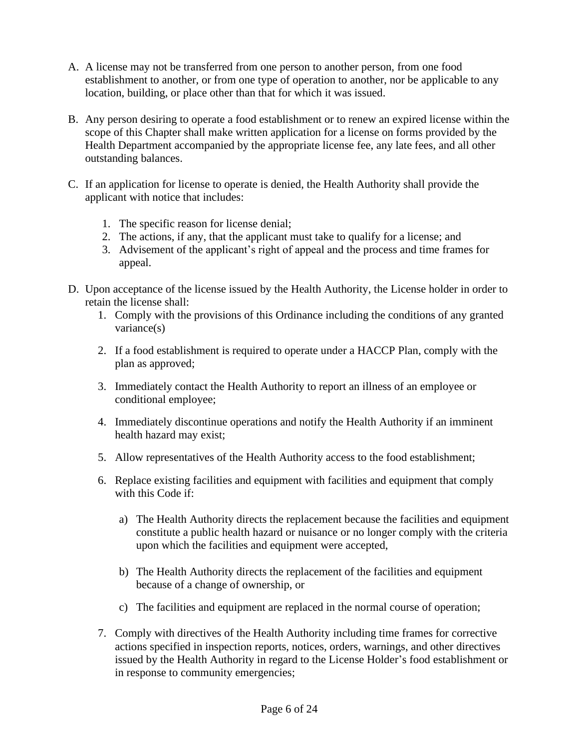- A. A license may not be transferred from one person to another person, from one food establishment to another, or from one type of operation to another, nor be applicable to any location, building, or place other than that for which it was issued.
- B. Any person desiring to operate a food establishment or to renew an expired license within the scope of this Chapter shall make written application for a license on forms provided by the Health Department accompanied by the appropriate license fee, any late fees, and all other outstanding balances.
- C. If an application for license to operate is denied, the Health Authority shall provide the applicant with notice that includes:
	- 1. The specific reason for license denial;
	- 2. The actions, if any, that the applicant must take to qualify for a license; and
	- 3. Advisement of the applicant's right of appeal and the process and time frames for appeal.
- D. Upon acceptance of the license issued by the Health Authority, the License holder in order to retain the license shall:
	- 1. Comply with the provisions of this Ordinance including the conditions of any granted variance(s)
	- 2. If a food establishment is required to operate under a HACCP Plan, comply with the plan as approved;
	- 3. Immediately contact the Health Authority to report an illness of an employee or conditional employee;
	- 4. Immediately discontinue operations and notify the Health Authority if an imminent health hazard may exist;
	- 5. Allow representatives of the Health Authority access to the food establishment;
	- 6. Replace existing facilities and equipment with facilities and equipment that comply with this Code if:
		- a) The Health Authority directs the replacement because the facilities and equipment constitute a public health hazard or nuisance or no longer comply with the criteria upon which the facilities and equipment were accepted,
		- b) The Health Authority directs the replacement of the facilities and equipment because of a change of ownership, or
		- c) The facilities and equipment are replaced in the normal course of operation;
	- 7. Comply with directives of the Health Authority including time frames for corrective actions specified in inspection reports, notices, orders, warnings, and other directives issued by the Health Authority in regard to the License Holder's food establishment or in response to community emergencies;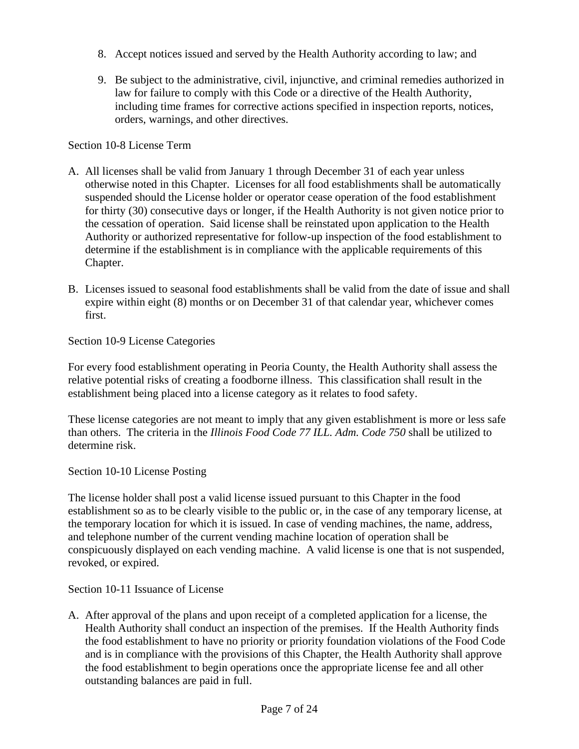- 8. Accept notices issued and served by the Health Authority according to law; and
- 9. Be subject to the administrative, civil, injunctive, and criminal remedies authorized in law for failure to comply with this Code or a directive of the Health Authority, including time frames for corrective actions specified in inspection reports, notices, orders, warnings, and other directives.

# Section 10-8 License Term

- A. All licenses shall be valid from January 1 through December 31 of each year unless otherwise noted in this Chapter. Licenses for all food establishments shall be automatically suspended should the License holder or operator cease operation of the food establishment for thirty (30) consecutive days or longer, if the Health Authority is not given notice prior to the cessation of operation. Said license shall be reinstated upon application to the Health Authority or authorized representative for follow-up inspection of the food establishment to determine if the establishment is in compliance with the applicable requirements of this Chapter.
- B. Licenses issued to seasonal food establishments shall be valid from the date of issue and shall expire within eight (8) months or on December 31 of that calendar year, whichever comes first.

Section 10-9 License Categories

For every food establishment operating in Peoria County, the Health Authority shall assess the relative potential risks of creating a foodborne illness. This classification shall result in the establishment being placed into a license category as it relates to food safety.

These license categories are not meant to imply that any given establishment is more or less safe than others. The criteria in the *Illinois Food Code 77 ILL. Adm. Code 750* shall be utilized to determine risk.

Section 10-10 License Posting

The license holder shall post a valid license issued pursuant to this Chapter in the food establishment so as to be clearly visible to the public or, in the case of any temporary license, at the temporary location for which it is issued. In case of vending machines, the name, address, and telephone number of the current vending machine location of operation shall be conspicuously displayed on each vending machine. A valid license is one that is not suspended, revoked, or expired.

Section 10-11 Issuance of License

A. After approval of the plans and upon receipt of a completed application for a license, the Health Authority shall conduct an inspection of the premises. If the Health Authority finds the food establishment to have no priority or priority foundation violations of the Food Code and is in compliance with the provisions of this Chapter, the Health Authority shall approve the food establishment to begin operations once the appropriate license fee and all other outstanding balances are paid in full.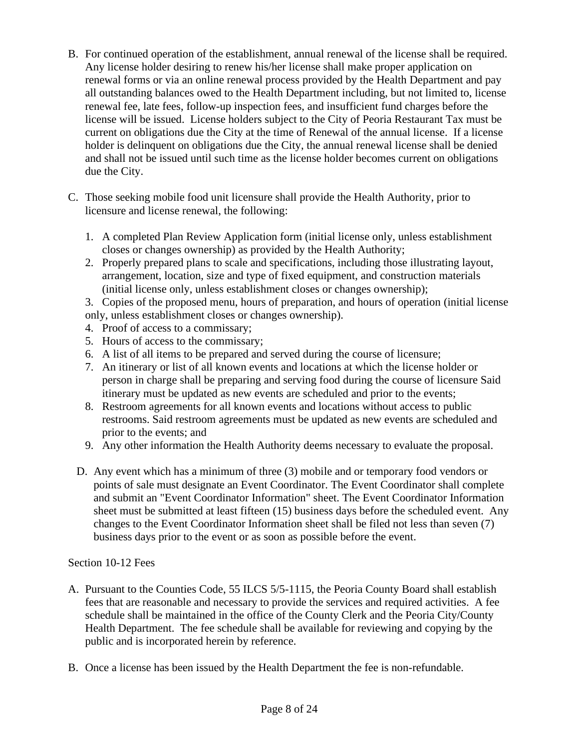- B. For continued operation of the establishment, annual renewal of the license shall be required. Any license holder desiring to renew his/her license shall make proper application on renewal forms or via an online renewal process provided by the Health Department and pay all outstanding balances owed to the Health Department including, but not limited to, license renewal fee, late fees, follow-up inspection fees, and insufficient fund charges before the license will be issued. License holders subject to the City of Peoria Restaurant Tax must be current on obligations due the City at the time of Renewal of the annual license. If a license holder is delinquent on obligations due the City, the annual renewal license shall be denied and shall not be issued until such time as the license holder becomes current on obligations due the City.
- C. Those seeking mobile food unit licensure shall provide the Health Authority, prior to licensure and license renewal, the following:
	- 1. A completed Plan Review Application form (initial license only, unless establishment closes or changes ownership) as provided by the Health Authority;
	- 2. Properly prepared plans to scale and specifications, including those illustrating layout, arrangement, location, size and type of fixed equipment, and construction materials (initial license only, unless establishment closes or changes ownership);

3. Copies of the proposed menu, hours of preparation, and hours of operation (initial license only, unless establishment closes or changes ownership).

- 4. Proof of access to a commissary;
- 5. Hours of access to the commissary;
- 6. A list of all items to be prepared and served during the course of licensure;
- 7. An itinerary or list of all known events and locations at which the license holder or person in charge shall be preparing and serving food during the course of licensure Said itinerary must be updated as new events are scheduled and prior to the events;
- 8. Restroom agreements for all known events and locations without access to public restrooms. Said restroom agreements must be updated as new events are scheduled and prior to the events; and
- 9. Any other information the Health Authority deems necessary to evaluate the proposal.
- D. Any event which has a minimum of three (3) mobile and or temporary food vendors or points of sale must designate an Event Coordinator. The Event Coordinator shall complete and submit an "Event Coordinator Information" sheet. The Event Coordinator Information sheet must be submitted at least fifteen (15) business days before the scheduled event. Any changes to the Event Coordinator Information sheet shall be filed not less than seven (7) business days prior to the event or as soon as possible before the event.

#### Section 10-12 Fees

- A. Pursuant to the Counties Code, 55 ILCS 5/5-1115, the Peoria County Board shall establish fees that are reasonable and necessary to provide the services and required activities. A fee schedule shall be maintained in the office of the County Clerk and the Peoria City/County Health Department. The fee schedule shall be available for reviewing and copying by the public and is incorporated herein by reference.
- B. Once a license has been issued by the Health Department the fee is non-refundable.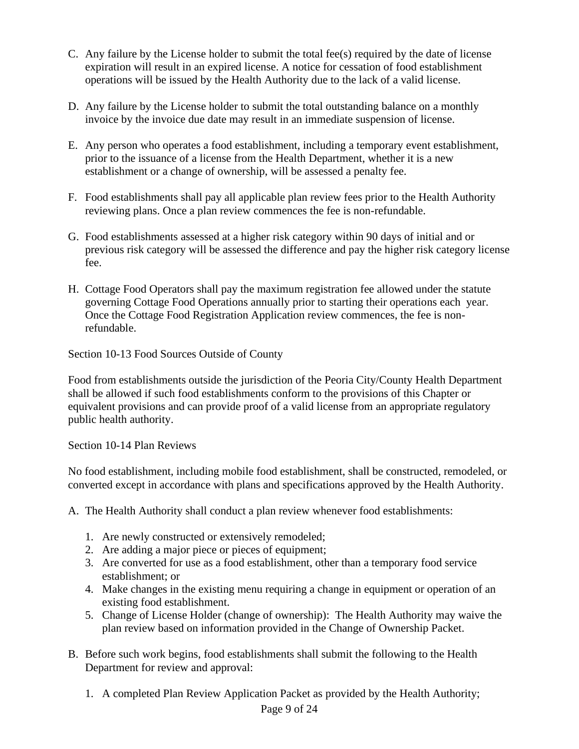- C. Any failure by the License holder to submit the total fee(s) required by the date of license expiration will result in an expired license. A notice for cessation of food establishment operations will be issued by the Health Authority due to the lack of a valid license.
- D. Any failure by the License holder to submit the total outstanding balance on a monthly invoice by the invoice due date may result in an immediate suspension of license.
- E. Any person who operates a food establishment, including a temporary event establishment, prior to the issuance of a license from the Health Department, whether it is a new establishment or a change of ownership, will be assessed a penalty fee.
- F. Food establishments shall pay all applicable plan review fees prior to the Health Authority reviewing plans. Once a plan review commences the fee is non-refundable.
- G. Food establishments assessed at a higher risk category within 90 days of initial and or previous risk category will be assessed the difference and pay the higher risk category license fee.
- H. Cottage Food Operators shall pay the maximum registration fee allowed under the statute governing Cottage Food Operations annually prior to starting their operations each year. Once the Cottage Food Registration Application review commences, the fee is nonrefundable.

Section 10-13 Food Sources Outside of County

Food from establishments outside the jurisdiction of the Peoria City/County Health Department shall be allowed if such food establishments conform to the provisions of this Chapter or equivalent provisions and can provide proof of a valid license from an appropriate regulatory public health authority.

Section 10-14 Plan Reviews

No food establishment, including mobile food establishment, shall be constructed, remodeled, or converted except in accordance with plans and specifications approved by the Health Authority.

A. The Health Authority shall conduct a plan review whenever food establishments:

- 1. Are newly constructed or extensively remodeled;
- 2. Are adding a major piece or pieces of equipment;
- 3. Are converted for use as a food establishment, other than a temporary food service establishment; or
- 4. Make changes in the existing menu requiring a change in equipment or operation of an existing food establishment.
- 5. Change of License Holder (change of ownership): The Health Authority may waive the plan review based on information provided in the Change of Ownership Packet.
- B. Before such work begins, food establishments shall submit the following to the Health Department for review and approval:
	- 1. A completed Plan Review Application Packet as provided by the Health Authority;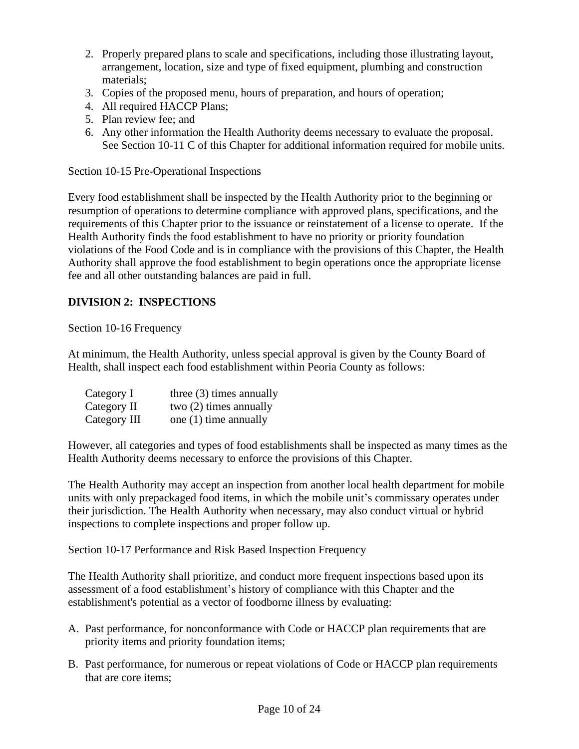- 2. Properly prepared plans to scale and specifications, including those illustrating layout, arrangement, location, size and type of fixed equipment, plumbing and construction materials;
- 3. Copies of the proposed menu, hours of preparation, and hours of operation;
- 4. All required HACCP Plans;
- 5. Plan review fee; and
- 6. Any other information the Health Authority deems necessary to evaluate the proposal. See Section 10-11 C of this Chapter for additional information required for mobile units.

Section 10-15 Pre-Operational Inspections

Every food establishment shall be inspected by the Health Authority prior to the beginning or resumption of operations to determine compliance with approved plans, specifications, and the requirements of this Chapter prior to the issuance or reinstatement of a license to operate. If the Health Authority finds the food establishment to have no priority or priority foundation violations of the Food Code and is in compliance with the provisions of this Chapter, the Health Authority shall approve the food establishment to begin operations once the appropriate license fee and all other outstanding balances are paid in full.

# **DIVISION 2: INSPECTIONS**

Section 10-16 Frequency

At minimum, the Health Authority, unless special approval is given by the County Board of Health, shall inspect each food establishment within Peoria County as follows:

| Category I   | three $(3)$ times annually |
|--------------|----------------------------|
| Category II  | two $(2)$ times annually   |
| Category III | one (1) time annually      |

However, all categories and types of food establishments shall be inspected as many times as the Health Authority deems necessary to enforce the provisions of this Chapter.

The Health Authority may accept an inspection from another local health department for mobile units with only prepackaged food items, in which the mobile unit's commissary operates under their jurisdiction. The Health Authority when necessary, may also conduct virtual or hybrid inspections to complete inspections and proper follow up.

Section 10-17 Performance and Risk Based Inspection Frequency

The Health Authority shall prioritize, and conduct more frequent inspections based upon its assessment of a food establishment's history of compliance with this Chapter and the establishment's potential as a vector of foodborne illness by evaluating:

- A. Past performance, for nonconformance with Code or HACCP plan requirements that are priority items and priority foundation items;
- B. Past performance, for numerous or repeat violations of Code or HACCP plan requirements that are core items;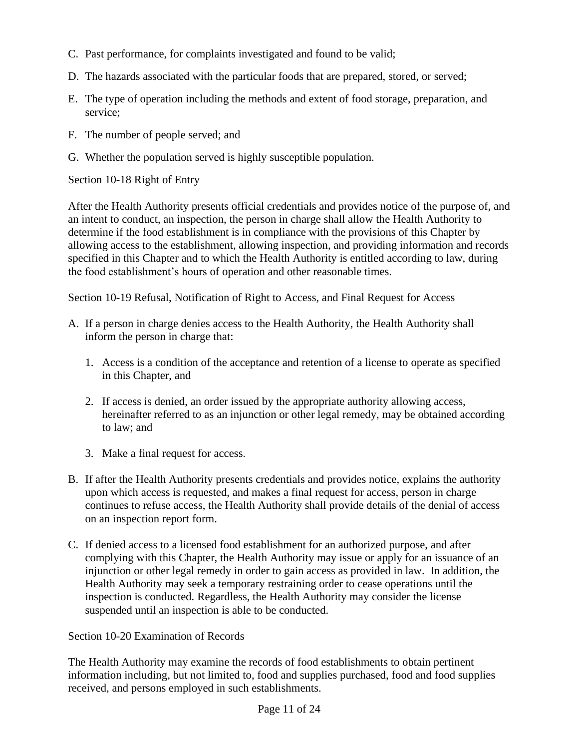- C. Past performance, for complaints investigated and found to be valid;
- D. The hazards associated with the particular foods that are prepared, stored, or served;
- E. The type of operation including the methods and extent of food storage, preparation, and service;
- F. The number of people served; and
- G. Whether the population served is highly susceptible population.

Section 10-18 Right of Entry

After the Health Authority presents official credentials and provides notice of the purpose of, and an intent to conduct, an inspection, the person in charge shall allow the Health Authority to determine if the food establishment is in compliance with the provisions of this Chapter by allowing access to the establishment, allowing inspection, and providing information and records specified in this Chapter and to which the Health Authority is entitled according to law, during the food establishment's hours of operation and other reasonable times.

Section 10-19 Refusal, Notification of Right to Access, and Final Request for Access

- A. If a person in charge denies access to the Health Authority, the Health Authority shall inform the person in charge that:
	- 1. Access is a condition of the acceptance and retention of a license to operate as specified in this Chapter, and
	- 2. If access is denied, an order issued by the appropriate authority allowing access, hereinafter referred to as an injunction or other legal remedy, may be obtained according to law; and
	- 3. Make a final request for access.
- B. If after the Health Authority presents credentials and provides notice, explains the authority upon which access is requested, and makes a final request for access, person in charge continues to refuse access, the Health Authority shall provide details of the denial of access on an inspection report form.
- C. If denied access to a licensed food establishment for an authorized purpose, and after complying with this Chapter, the Health Authority may issue or apply for an issuance of an injunction or other legal remedy in order to gain access as provided in law. In addition, the Health Authority may seek a temporary restraining order to cease operations until the inspection is conducted. Regardless, the Health Authority may consider the license suspended until an inspection is able to be conducted.

Section 10-20 Examination of Records

The Health Authority may examine the records of food establishments to obtain pertinent information including, but not limited to, food and supplies purchased, food and food supplies received, and persons employed in such establishments.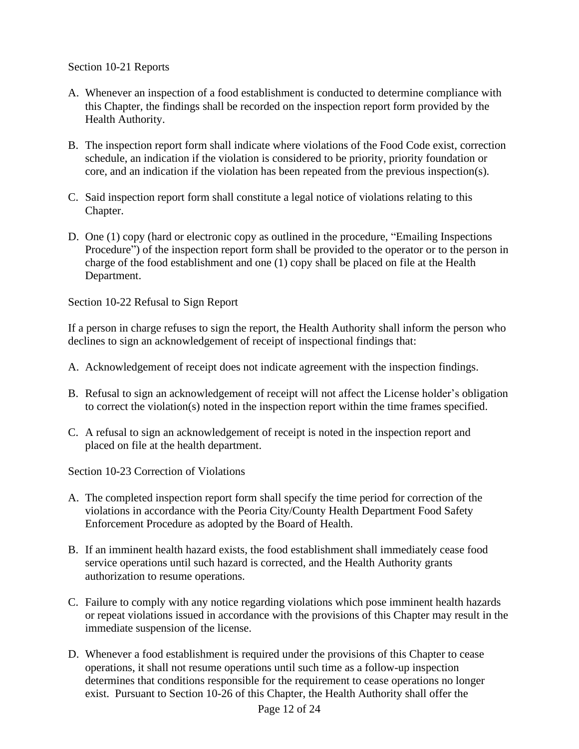Section 10-21 Reports

- A. Whenever an inspection of a food establishment is conducted to determine compliance with this Chapter, the findings shall be recorded on the inspection report form provided by the Health Authority.
- B. The inspection report form shall indicate where violations of the Food Code exist, correction schedule, an indication if the violation is considered to be priority, priority foundation or core, and an indication if the violation has been repeated from the previous inspection(s).
- C. Said inspection report form shall constitute a legal notice of violations relating to this Chapter.
- D. One (1) copy (hard or electronic copy as outlined in the procedure, "Emailing Inspections Procedure") of the inspection report form shall be provided to the operator or to the person in charge of the food establishment and one (1) copy shall be placed on file at the Health Department.

Section 10-22 Refusal to Sign Report

If a person in charge refuses to sign the report, the Health Authority shall inform the person who declines to sign an acknowledgement of receipt of inspectional findings that:

- A. Acknowledgement of receipt does not indicate agreement with the inspection findings.
- B. Refusal to sign an acknowledgement of receipt will not affect the License holder's obligation to correct the violation(s) noted in the inspection report within the time frames specified.
- C. A refusal to sign an acknowledgement of receipt is noted in the inspection report and placed on file at the health department.

Section 10-23 Correction of Violations

- A. The completed inspection report form shall specify the time period for correction of the violations in accordance with the Peoria City/County Health Department Food Safety Enforcement Procedure as adopted by the Board of Health.
- B. If an imminent health hazard exists, the food establishment shall immediately cease food service operations until such hazard is corrected, and the Health Authority grants authorization to resume operations.
- C. Failure to comply with any notice regarding violations which pose imminent health hazards or repeat violations issued in accordance with the provisions of this Chapter may result in the immediate suspension of the license.
- D. Whenever a food establishment is required under the provisions of this Chapter to cease operations, it shall not resume operations until such time as a follow-up inspection determines that conditions responsible for the requirement to cease operations no longer exist. Pursuant to Section 10-26 of this Chapter, the Health Authority shall offer the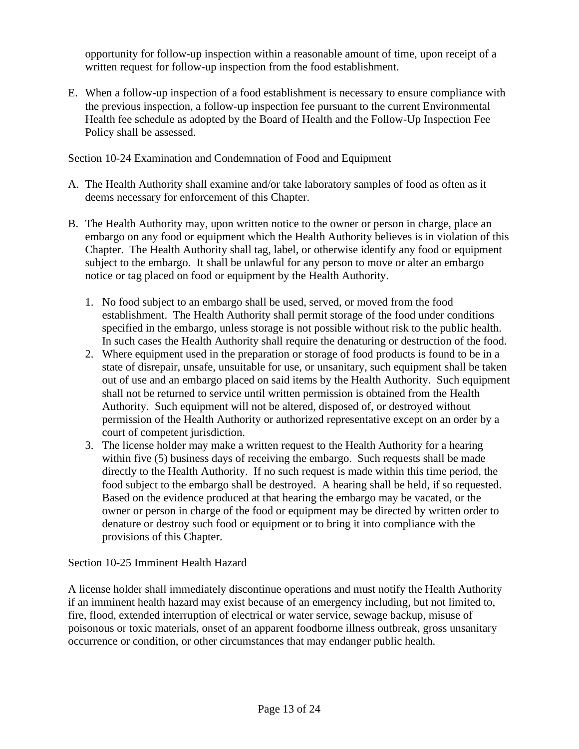opportunity for follow-up inspection within a reasonable amount of time, upon receipt of a written request for follow-up inspection from the food establishment.

E. When a follow-up inspection of a food establishment is necessary to ensure compliance with the previous inspection, a follow-up inspection fee pursuant to the current Environmental Health fee schedule as adopted by the Board of Health and the Follow-Up Inspection Fee Policy shall be assessed.

Section 10-24 Examination and Condemnation of Food and Equipment

- A. The Health Authority shall examine and/or take laboratory samples of food as often as it deems necessary for enforcement of this Chapter.
- B. The Health Authority may, upon written notice to the owner or person in charge, place an embargo on any food or equipment which the Health Authority believes is in violation of this Chapter. The Health Authority shall tag, label, or otherwise identify any food or equipment subject to the embargo. It shall be unlawful for any person to move or alter an embargo notice or tag placed on food or equipment by the Health Authority.
	- 1. No food subject to an embargo shall be used, served, or moved from the food establishment. The Health Authority shall permit storage of the food under conditions specified in the embargo, unless storage is not possible without risk to the public health. In such cases the Health Authority shall require the denaturing or destruction of the food.
	- 2. Where equipment used in the preparation or storage of food products is found to be in a state of disrepair, unsafe, unsuitable for use, or unsanitary, such equipment shall be taken out of use and an embargo placed on said items by the Health Authority. Such equipment shall not be returned to service until written permission is obtained from the Health Authority. Such equipment will not be altered, disposed of, or destroyed without permission of the Health Authority or authorized representative except on an order by a court of competent jurisdiction.
	- 3. The license holder may make a written request to the Health Authority for a hearing within five (5) business days of receiving the embargo. Such requests shall be made directly to the Health Authority. If no such request is made within this time period, the food subject to the embargo shall be destroyed. A hearing shall be held, if so requested. Based on the evidence produced at that hearing the embargo may be vacated, or the owner or person in charge of the food or equipment may be directed by written order to denature or destroy such food or equipment or to bring it into compliance with the provisions of this Chapter.

Section 10-25 Imminent Health Hazard

A license holder shall immediately discontinue operations and must notify the Health Authority if an imminent health hazard may exist because of an emergency including, but not limited to, fire, flood, extended interruption of electrical or water service, sewage backup, misuse of poisonous or toxic materials, onset of an apparent foodborne illness outbreak, gross unsanitary occurrence or condition, or other circumstances that may endanger public health.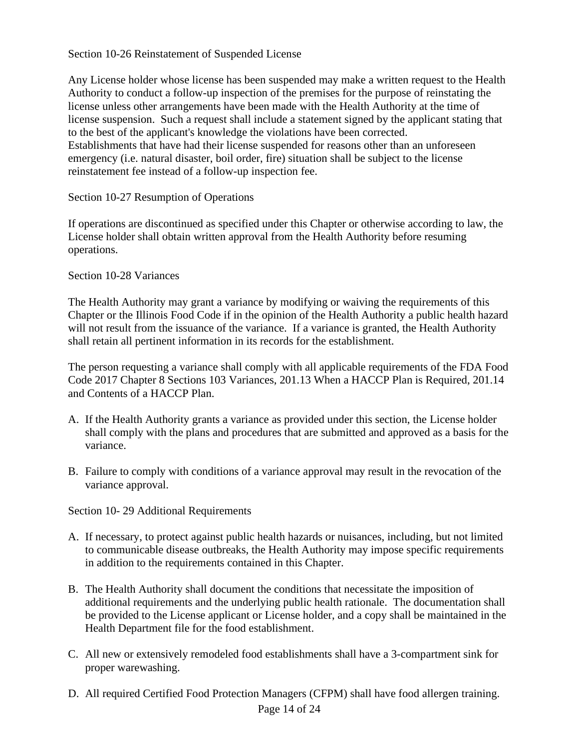## Section 10-26 Reinstatement of Suspended License

Any License holder whose license has been suspended may make a written request to the Health Authority to conduct a follow-up inspection of the premises for the purpose of reinstating the license unless other arrangements have been made with the Health Authority at the time of license suspension. Such a request shall include a statement signed by the applicant stating that to the best of the applicant's knowledge the violations have been corrected. Establishments that have had their license suspended for reasons other than an unforeseen emergency (i.e. natural disaster, boil order, fire) situation shall be subject to the license reinstatement fee instead of a follow-up inspection fee.

# Section 10-27 Resumption of Operations

If operations are discontinued as specified under this Chapter or otherwise according to law, the License holder shall obtain written approval from the Health Authority before resuming operations.

#### Section 10-28 Variances

The Health Authority may grant a variance by modifying or waiving the requirements of this Chapter or the Illinois Food Code if in the opinion of the Health Authority a public health hazard will not result from the issuance of the variance. If a variance is granted, the Health Authority shall retain all pertinent information in its records for the establishment.

The person requesting a variance shall comply with all applicable requirements of the FDA Food Code 2017 Chapter 8 Sections 103 Variances, 201.13 When a HACCP Plan is Required, 201.14 and Contents of a HACCP Plan.

- A. If the Health Authority grants a variance as provided under this section, the License holder shall comply with the plans and procedures that are submitted and approved as a basis for the variance.
- B. Failure to comply with conditions of a variance approval may result in the revocation of the variance approval.

Section 10- 29 Additional Requirements

- A. If necessary, to protect against public health hazards or nuisances, including, but not limited to communicable disease outbreaks, the Health Authority may impose specific requirements in addition to the requirements contained in this Chapter.
- B. The Health Authority shall document the conditions that necessitate the imposition of additional requirements and the underlying public health rationale. The documentation shall be provided to the License applicant or License holder, and a copy shall be maintained in the Health Department file for the food establishment.
- C. All new or extensively remodeled food establishments shall have a 3-compartment sink for proper warewashing.
- D. All required Certified Food Protection Managers (CFPM) shall have food allergen training.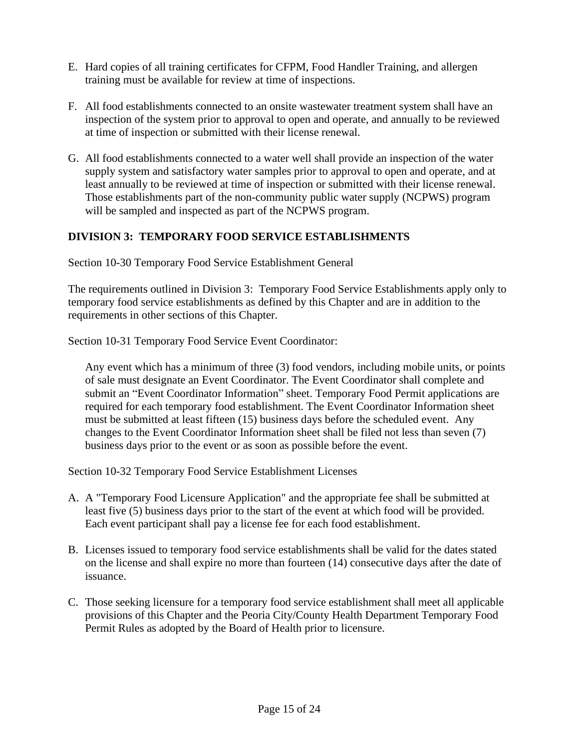- E. Hard copies of all training certificates for CFPM, Food Handler Training, and allergen training must be available for review at time of inspections.
- F. All food establishments connected to an onsite wastewater treatment system shall have an inspection of the system prior to approval to open and operate, and annually to be reviewed at time of inspection or submitted with their license renewal.
- G. All food establishments connected to a water well shall provide an inspection of the water supply system and satisfactory water samples prior to approval to open and operate, and at least annually to be reviewed at time of inspection or submitted with their license renewal. Those establishments part of the non-community public water supply (NCPWS) program will be sampled and inspected as part of the NCPWS program.

# **DIVISION 3: TEMPORARY FOOD SERVICE ESTABLISHMENTS**

Section 10-30 Temporary Food Service Establishment General

The requirements outlined in Division 3: Temporary Food Service Establishments apply only to temporary food service establishments as defined by this Chapter and are in addition to the requirements in other sections of this Chapter.

Section 10-31 Temporary Food Service Event Coordinator:

Any event which has a minimum of three (3) food vendors, including mobile units, or points of sale must designate an Event Coordinator. The Event Coordinator shall complete and submit an "Event Coordinator Information" sheet. Temporary Food Permit applications are required for each temporary food establishment. The Event Coordinator Information sheet must be submitted at least fifteen (15) business days before the scheduled event. Any changes to the Event Coordinator Information sheet shall be filed not less than seven (7) business days prior to the event or as soon as possible before the event.

Section 10-32 Temporary Food Service Establishment Licenses

- A. A "Temporary Food Licensure Application" and the appropriate fee shall be submitted at least five (5) business days prior to the start of the event at which food will be provided. Each event participant shall pay a license fee for each food establishment.
- B. Licenses issued to temporary food service establishments shall be valid for the dates stated on the license and shall expire no more than fourteen (14) consecutive days after the date of issuance.
- C. Those seeking licensure for a temporary food service establishment shall meet all applicable provisions of this Chapter and the Peoria City/County Health Department Temporary Food Permit Rules as adopted by the Board of Health prior to licensure.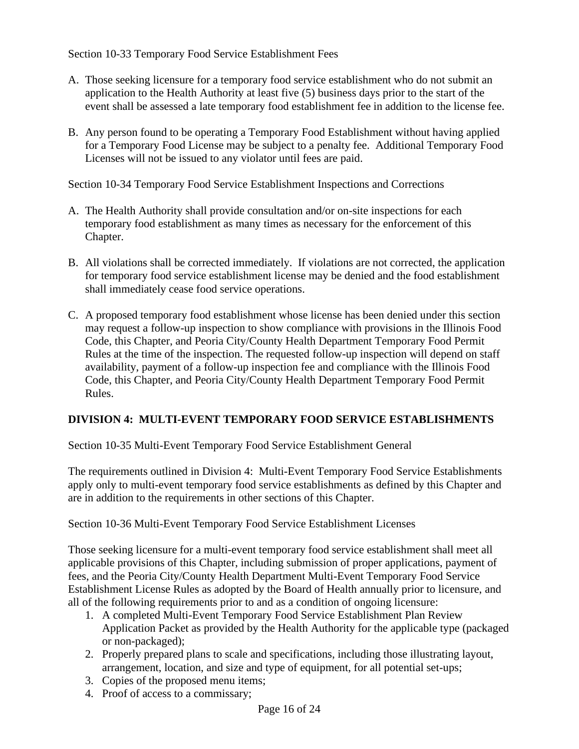Section 10-33 Temporary Food Service Establishment Fees

- A. Those seeking licensure for a temporary food service establishment who do not submit an application to the Health Authority at least five (5) business days prior to the start of the event shall be assessed a late temporary food establishment fee in addition to the license fee.
- B. Any person found to be operating a Temporary Food Establishment without having applied for a Temporary Food License may be subject to a penalty fee. Additional Temporary Food Licenses will not be issued to any violator until fees are paid.

Section 10-34 Temporary Food Service Establishment Inspections and Corrections

- A. The Health Authority shall provide consultation and/or on-site inspections for each temporary food establishment as many times as necessary for the enforcement of this Chapter.
- B. All violations shall be corrected immediately. If violations are not corrected, the application for temporary food service establishment license may be denied and the food establishment shall immediately cease food service operations.
- C. A proposed temporary food establishment whose license has been denied under this section may request a follow-up inspection to show compliance with provisions in the Illinois Food Code, this Chapter, and Peoria City/County Health Department Temporary Food Permit Rules at the time of the inspection. The requested follow-up inspection will depend on staff availability, payment of a follow-up inspection fee and compliance with the Illinois Food Code, this Chapter, and Peoria City/County Health Department Temporary Food Permit Rules.

# **DIVISION 4: MULTI-EVENT TEMPORARY FOOD SERVICE ESTABLISHMENTS**

Section 10-35 Multi-Event Temporary Food Service Establishment General

The requirements outlined in Division 4: Multi-Event Temporary Food Service Establishments apply only to multi-event temporary food service establishments as defined by this Chapter and are in addition to the requirements in other sections of this Chapter.

Section 10-36 Multi-Event Temporary Food Service Establishment Licenses

Those seeking licensure for a multi-event temporary food service establishment shall meet all applicable provisions of this Chapter, including submission of proper applications, payment of fees, and the Peoria City/County Health Department Multi-Event Temporary Food Service Establishment License Rules as adopted by the Board of Health annually prior to licensure, and all of the following requirements prior to and as a condition of ongoing licensure:

- 1. A completed Multi-Event Temporary Food Service Establishment Plan Review Application Packet as provided by the Health Authority for the applicable type (packaged or non-packaged);
- 2. Properly prepared plans to scale and specifications, including those illustrating layout, arrangement, location, and size and type of equipment, for all potential set-ups;
- 3. Copies of the proposed menu items;
- 4. Proof of access to a commissary;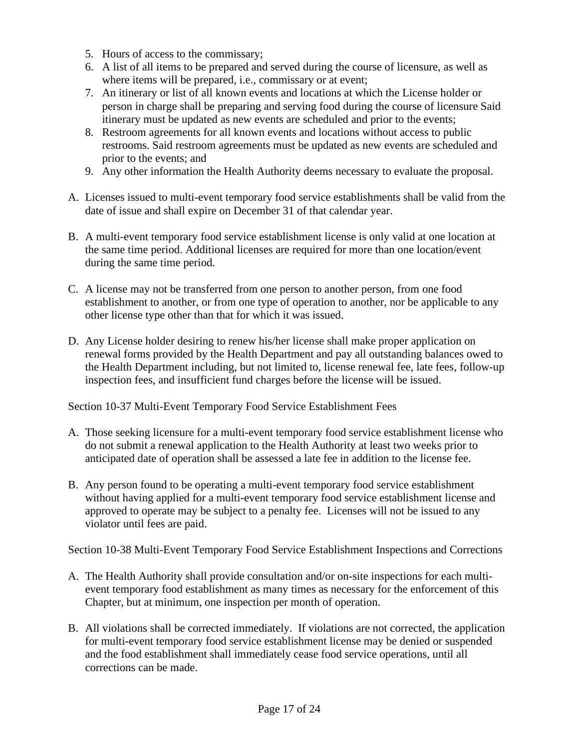- 5. Hours of access to the commissary;
- 6. A list of all items to be prepared and served during the course of licensure, as well as where items will be prepared, i.e., commissary or at event;
- 7. An itinerary or list of all known events and locations at which the License holder or person in charge shall be preparing and serving food during the course of licensure Said itinerary must be updated as new events are scheduled and prior to the events;
- 8. Restroom agreements for all known events and locations without access to public restrooms. Said restroom agreements must be updated as new events are scheduled and prior to the events; and
- 9. Any other information the Health Authority deems necessary to evaluate the proposal.
- A. Licenses issued to multi-event temporary food service establishments shall be valid from the date of issue and shall expire on December 31 of that calendar year.
- B. A multi-event temporary food service establishment license is only valid at one location at the same time period. Additional licenses are required for more than one location/event during the same time period.
- C. A license may not be transferred from one person to another person, from one food establishment to another, or from one type of operation to another, nor be applicable to any other license type other than that for which it was issued.
- D. Any License holder desiring to renew his/her license shall make proper application on renewal forms provided by the Health Department and pay all outstanding balances owed to the Health Department including, but not limited to, license renewal fee, late fees, follow-up inspection fees, and insufficient fund charges before the license will be issued.

Section 10-37 Multi-Event Temporary Food Service Establishment Fees

- A. Those seeking licensure for a multi-event temporary food service establishment license who do not submit a renewal application to the Health Authority at least two weeks prior to anticipated date of operation shall be assessed a late fee in addition to the license fee.
- B. Any person found to be operating a multi-event temporary food service establishment without having applied for a multi-event temporary food service establishment license and approved to operate may be subject to a penalty fee. Licenses will not be issued to any violator until fees are paid.

Section 10-38 Multi-Event Temporary Food Service Establishment Inspections and Corrections

- A. The Health Authority shall provide consultation and/or on-site inspections for each multievent temporary food establishment as many times as necessary for the enforcement of this Chapter, but at minimum, one inspection per month of operation.
- B. All violations shall be corrected immediately. If violations are not corrected, the application for multi-event temporary food service establishment license may be denied or suspended and the food establishment shall immediately cease food service operations, until all corrections can be made.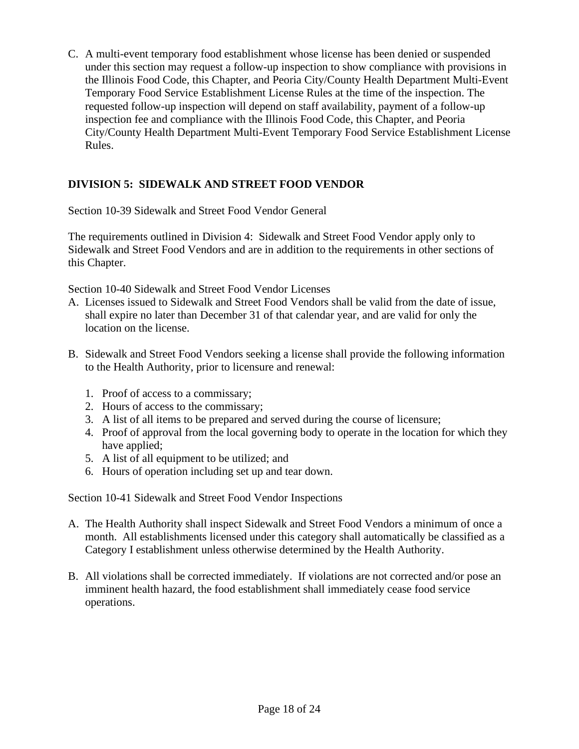C. A multi-event temporary food establishment whose license has been denied or suspended under this section may request a follow-up inspection to show compliance with provisions in the Illinois Food Code, this Chapter, and Peoria City/County Health Department Multi-Event Temporary Food Service Establishment License Rules at the time of the inspection. The requested follow-up inspection will depend on staff availability, payment of a follow-up inspection fee and compliance with the Illinois Food Code, this Chapter, and Peoria City/County Health Department Multi-Event Temporary Food Service Establishment License Rules.

# **DIVISION 5: SIDEWALK AND STREET FOOD VENDOR**

Section 10-39 Sidewalk and Street Food Vendor General

The requirements outlined in Division 4: Sidewalk and Street Food Vendor apply only to Sidewalk and Street Food Vendors and are in addition to the requirements in other sections of this Chapter.

Section 10-40 Sidewalk and Street Food Vendor Licenses

- A. Licenses issued to Sidewalk and Street Food Vendors shall be valid from the date of issue, shall expire no later than December 31 of that calendar year, and are valid for only the location on the license.
- B. Sidewalk and Street Food Vendors seeking a license shall provide the following information to the Health Authority, prior to licensure and renewal:
	- 1. Proof of access to a commissary;
	- 2. Hours of access to the commissary;
	- 3. A list of all items to be prepared and served during the course of licensure;
	- 4. Proof of approval from the local governing body to operate in the location for which they have applied;
	- 5. A list of all equipment to be utilized; and
	- 6. Hours of operation including set up and tear down.

Section 10-41 Sidewalk and Street Food Vendor Inspections

- A. The Health Authority shall inspect Sidewalk and Street Food Vendors a minimum of once a month. All establishments licensed under this category shall automatically be classified as a Category I establishment unless otherwise determined by the Health Authority.
- B. All violations shall be corrected immediately. If violations are not corrected and/or pose an imminent health hazard, the food establishment shall immediately cease food service operations.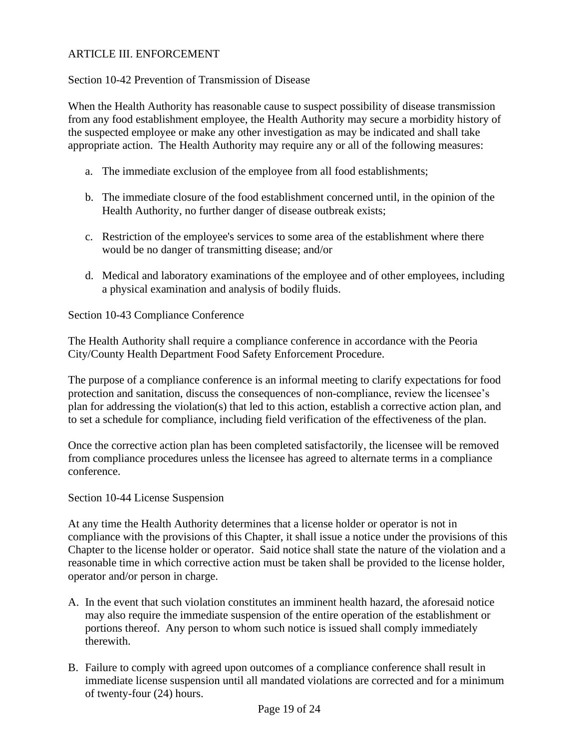# ARTICLE III. ENFORCEMENT

#### Section 10-42 Prevention of Transmission of Disease

When the Health Authority has reasonable cause to suspect possibility of disease transmission from any food establishment employee, the Health Authority may secure a morbidity history of the suspected employee or make any other investigation as may be indicated and shall take appropriate action. The Health Authority may require any or all of the following measures:

- a. The immediate exclusion of the employee from all food establishments;
- b. The immediate closure of the food establishment concerned until, in the opinion of the Health Authority, no further danger of disease outbreak exists;
- c. Restriction of the employee's services to some area of the establishment where there would be no danger of transmitting disease; and/or
- d. Medical and laboratory examinations of the employee and of other employees, including a physical examination and analysis of bodily fluids.

#### Section 10-43 Compliance Conference

The Health Authority shall require a compliance conference in accordance with the Peoria City/County Health Department Food Safety Enforcement Procedure.

The purpose of a compliance conference is an informal meeting to clarify expectations for food protection and sanitation, discuss the consequences of non-compliance, review the licensee's plan for addressing the violation(s) that led to this action, establish a corrective action plan, and to set a schedule for compliance, including field verification of the effectiveness of the plan.

Once the corrective action plan has been completed satisfactorily, the licensee will be removed from compliance procedures unless the licensee has agreed to alternate terms in a compliance conference.

#### Section 10-44 License Suspension

At any time the Health Authority determines that a license holder or operator is not in compliance with the provisions of this Chapter, it shall issue a notice under the provisions of this Chapter to the license holder or operator. Said notice shall state the nature of the violation and a reasonable time in which corrective action must be taken shall be provided to the license holder, operator and/or person in charge.

- A. In the event that such violation constitutes an imminent health hazard, the aforesaid notice may also require the immediate suspension of the entire operation of the establishment or portions thereof. Any person to whom such notice is issued shall comply immediately therewith.
- B. Failure to comply with agreed upon outcomes of a compliance conference shall result in immediate license suspension until all mandated violations are corrected and for a minimum of twenty-four (24) hours.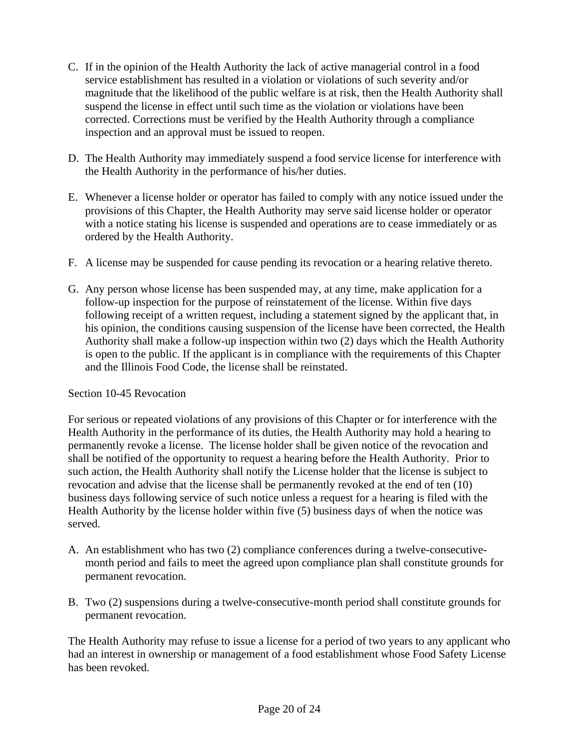- C. If in the opinion of the Health Authority the lack of active managerial control in a food service establishment has resulted in a violation or violations of such severity and/or magnitude that the likelihood of the public welfare is at risk, then the Health Authority shall suspend the license in effect until such time as the violation or violations have been corrected. Corrections must be verified by the Health Authority through a compliance inspection and an approval must be issued to reopen.
- D. The Health Authority may immediately suspend a food service license for interference with the Health Authority in the performance of his/her duties.
- E. Whenever a license holder or operator has failed to comply with any notice issued under the provisions of this Chapter, the Health Authority may serve said license holder or operator with a notice stating his license is suspended and operations are to cease immediately or as ordered by the Health Authority.
- F. A license may be suspended for cause pending its revocation or a hearing relative thereto.
- G. Any person whose license has been suspended may, at any time, make application for a follow-up inspection for the purpose of reinstatement of the license. Within five days following receipt of a written request, including a statement signed by the applicant that, in his opinion, the conditions causing suspension of the license have been corrected, the Health Authority shall make a follow-up inspection within two (2) days which the Health Authority is open to the public. If the applicant is in compliance with the requirements of this Chapter and the Illinois Food Code, the license shall be reinstated.

# Section 10-45 Revocation

For serious or repeated violations of any provisions of this Chapter or for interference with the Health Authority in the performance of its duties, the Health Authority may hold a hearing to permanently revoke a license. The license holder shall be given notice of the revocation and shall be notified of the opportunity to request a hearing before the Health Authority. Prior to such action, the Health Authority shall notify the License holder that the license is subject to revocation and advise that the license shall be permanently revoked at the end of ten (10) business days following service of such notice unless a request for a hearing is filed with the Health Authority by the license holder within five (5) business days of when the notice was served.

- A. An establishment who has two (2) compliance conferences during a twelve-consecutivemonth period and fails to meet the agreed upon compliance plan shall constitute grounds for permanent revocation.
- B. Two (2) suspensions during a twelve-consecutive-month period shall constitute grounds for permanent revocation.

The Health Authority may refuse to issue a license for a period of two years to any applicant who had an interest in ownership or management of a food establishment whose Food Safety License has been revoked.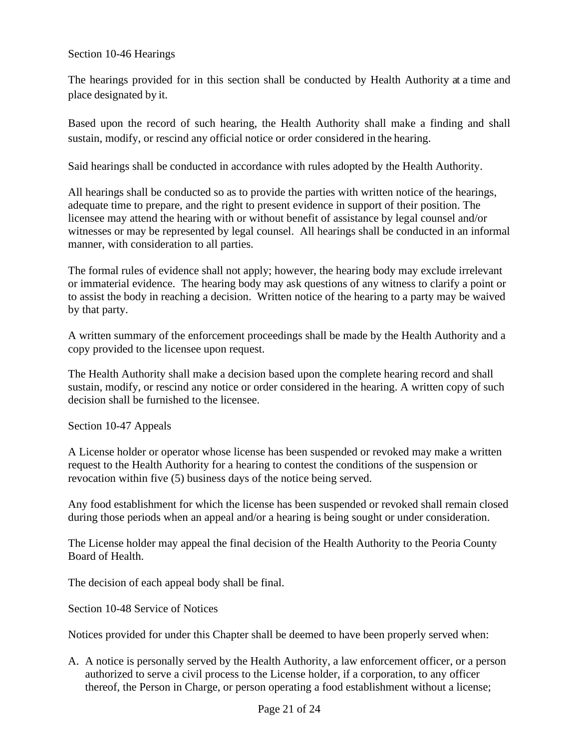## Section 10-46 Hearings

The hearings provided for in this section shall be conducted by Health Authority at a time and place designated by it.

Based upon the record of such hearing, the Health Authority shall make a finding and shall sustain, modify, or rescind any official notice or order considered in the hearing.

Said hearings shall be conducted in accordance with rules adopted by the Health Authority.

All hearings shall be conducted so as to provide the parties with written notice of the hearings, adequate time to prepare, and the right to present evidence in support of their position. The licensee may attend the hearing with or without benefit of assistance by legal counsel and/or witnesses or may be represented by legal counsel. All hearings shall be conducted in an informal manner, with consideration to all parties.

The formal rules of evidence shall not apply; however, the hearing body may exclude irrelevant or immaterial evidence. The hearing body may ask questions of any witness to clarify a point or to assist the body in reaching a decision. Written notice of the hearing to a party may be waived by that party.

A written summary of the enforcement proceedings shall be made by the Health Authority and a copy provided to the licensee upon request.

The Health Authority shall make a decision based upon the complete hearing record and shall sustain, modify, or rescind any notice or order considered in the hearing. A written copy of such decision shall be furnished to the licensee.

Section 10-47 Appeals

A License holder or operator whose license has been suspended or revoked may make a written request to the Health Authority for a hearing to contest the conditions of the suspension or revocation within five (5) business days of the notice being served.

Any food establishment for which the license has been suspended or revoked shall remain closed during those periods when an appeal and/or a hearing is being sought or under consideration.

The License holder may appeal the final decision of the Health Authority to the Peoria County Board of Health.

The decision of each appeal body shall be final.

Section 10-48 Service of Notices

Notices provided for under this Chapter shall be deemed to have been properly served when:

A. A notice is personally served by the Health Authority, a law enforcement officer, or a person authorized to serve a civil process to the License holder, if a corporation, to any officer thereof, the Person in Charge, or person operating a food establishment without a license;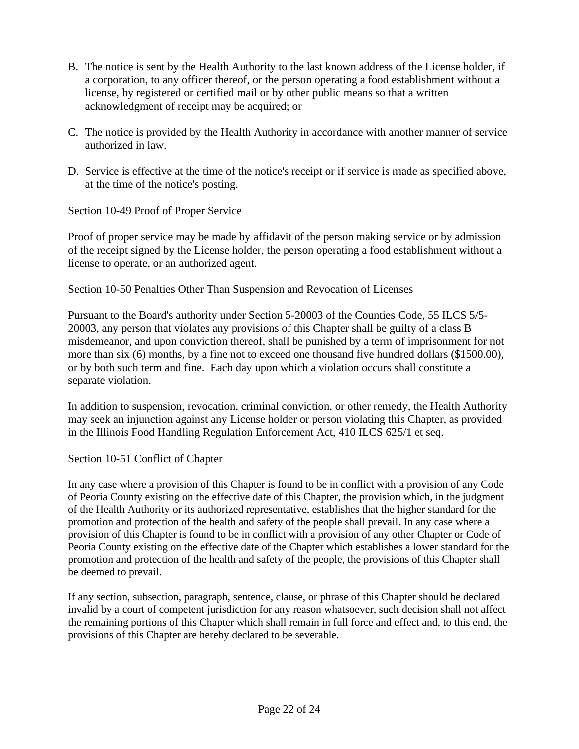- B. The notice is sent by the Health Authority to the last known address of the License holder, if a corporation, to any officer thereof, or the person operating a food establishment without a license, by registered or certified mail or by other public means so that a written acknowledgment of receipt may be acquired; or
- C. The notice is provided by the Health Authority in accordance with another manner of service authorized in law.
- D. Service is effective at the time of the notice's receipt or if service is made as specified above, at the time of the notice's posting.

Section 10-49 Proof of Proper Service

Proof of proper service may be made by affidavit of the person making service or by admission of the receipt signed by the License holder, the person operating a food establishment without a license to operate, or an authorized agent.

# Section 10-50 Penalties Other Than Suspension and Revocation of Licenses

Pursuant to the Board's authority under Section 5-20003 of the Counties Code, 55 ILCS 5/5- 20003, any person that violates any provisions of this Chapter shall be guilty of a class B misdemeanor, and upon conviction thereof, shall be punished by a term of imprisonment for not more than six (6) months, by a fine not to exceed one thousand five hundred dollars (\$1500.00), or by both such term and fine. Each day upon which a violation occurs shall constitute a separate violation.

In addition to suspension, revocation, criminal conviction, or other remedy, the Health Authority may seek an injunction against any License holder or person violating this Chapter, as provided in the Illinois Food Handling Regulation Enforcement Act, 410 ILCS 625/1 et seq.

# Section 10-51 Conflict of Chapter

In any case where a provision of this Chapter is found to be in conflict with a provision of any Code of Peoria County existing on the effective date of this Chapter, the provision which, in the judgment of the Health Authority or its authorized representative, establishes that the higher standard for the promotion and protection of the health and safety of the people shall prevail. In any case where a provision of this Chapter is found to be in conflict with a provision of any other Chapter or Code of Peoria County existing on the effective date of the Chapter which establishes a lower standard for the promotion and protection of the health and safety of the people, the provisions of this Chapter shall be deemed to prevail.

If any section, subsection, paragraph, sentence, clause, or phrase of this Chapter should be declared invalid by a court of competent jurisdiction for any reason whatsoever, such decision shall not affect the remaining portions of this Chapter which shall remain in full force and effect and, to this end, the provisions of this Chapter are hereby declared to be severable.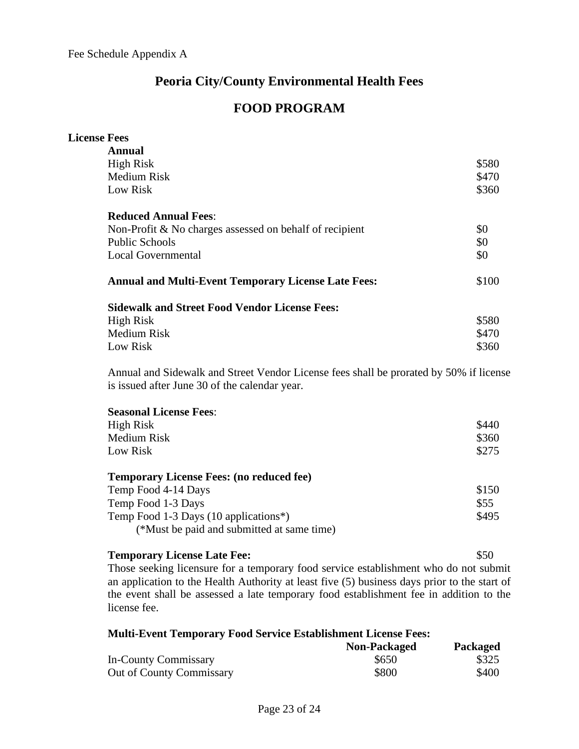# **Peoria City/County Environmental Health Fees**

# **FOOD PROGRAM**

| <b>License Fees</b>                                        |       |
|------------------------------------------------------------|-------|
| Annual                                                     |       |
| High Risk                                                  | \$580 |
| <b>Medium Risk</b>                                         | \$470 |
| Low Risk                                                   | \$360 |
| <b>Reduced Annual Fees:</b>                                |       |
| Non-Profit $&$ No charges assessed on behalf of recipient  | \$0   |
| <b>Public Schools</b>                                      | \$0   |
| <b>Local Governmental</b>                                  | \$0   |
| <b>Annual and Multi-Event Temporary License Late Fees:</b> | \$100 |
| <b>Sidewalk and Street Food Vendor License Fees:</b>       |       |
| High Risk                                                  | \$580 |
| <b>Medium Risk</b>                                         | \$470 |
| Low Risk                                                   | \$360 |

Annual and Sidewalk and Street Vendor License fees shall be prorated by 50% if license is issued after June 30 of the calendar year.

| High Risk<br><b>Medium Risk</b><br>Low Risk      | \$440<br>\$360<br>\$275 |
|--------------------------------------------------|-------------------------|
| <b>Temporary License Fees: (no reduced fee)</b>  |                         |
| Temp Food 4-14 Days                              | \$150                   |
| Temp Food 1-3 Days                               | \$55                    |
| Temp Food 1-3 Days $(10 \text{ applications}^*)$ | \$495                   |
| (*Must be paid and submitted at same time)       |                         |

| <b>Temporary License Late Fee:</b>                                                           | \$50 |
|----------------------------------------------------------------------------------------------|------|
| Those seeking licensure for a temporary food service establishment who do not submit         |      |
| an application to the Health Authority at least five (5) business days prior to the start of |      |
| the event shall be assessed a late temporary food establishment fee in addition to the       |      |
| license fee.                                                                                 |      |

| <b>Multi-Event Temporary Food Service Establishment License Fees:</b> |              |                 |  |
|-----------------------------------------------------------------------|--------------|-----------------|--|
|                                                                       | Non-Packaged | <b>Packaged</b> |  |
| In-County Commissary                                                  | \$650        | \$325           |  |
| <b>Out of County Commissary</b>                                       | \$800        | \$400           |  |